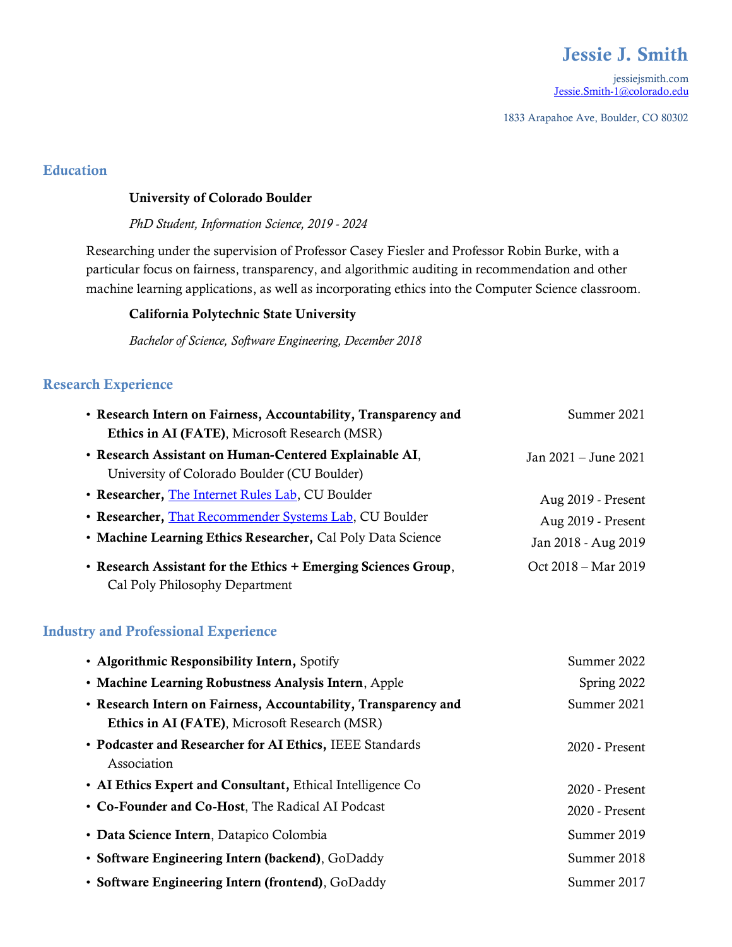# Jessie J. Smith

jessiejsmith.com [Jessie.Smith-1@colorado.edu](mailto:Jessie.Smith-1@colorado.edu)

1833 Arapahoe Ave, Boulder, CO 80302

## Education

#### University of Colorado Boulder

#### *PhD Student, Information Science, 2019 - 2024*

Researching under the supervision of Professor Casey Fiesler and Professor Robin Burke, with a particular focus on fairness, transparency, and algorithmic auditing in recommendation and other machine learning applications, as well as incorporating ethics into the Computer Science classroom.

#### California Polytechnic State University

*Bachelor of Science, Software Engineering, December 2018*

### Research Experience

| • Research Intern on Fairness, Accountability, Transparency and                                       | Summer 2021           |
|-------------------------------------------------------------------------------------------------------|-----------------------|
| Ethics in AI (FATE), Microsoft Research (MSR)                                                         |                       |
| • Research Assistant on Human-Centered Explainable AI,<br>University of Colorado Boulder (CU Boulder) | Jan 2021 – June 2021  |
| • Researcher, The Internet Rules Lab, CU Boulder                                                      | Aug 2019 - Present    |
| • Researcher, That Recommender Systems Lab, CU Boulder                                                | Aug 2019 - Present    |
| • Machine Learning Ethics Researcher, Cal Poly Data Science                                           | Jan 2018 - Aug 2019   |
| • Research Assistant for the Ethics + Emerging Sciences Group,<br>Cal Poly Philosophy Department      | $Oct$ 2018 – Mar 2019 |

# Industry and Professional Experience

| • Algorithmic Responsibility Intern, Spotify                                                                     | Summer 2022    |
|------------------------------------------------------------------------------------------------------------------|----------------|
| • Machine Learning Robustness Analysis Intern, Apple                                                             | Spring 2022    |
| • Research Intern on Fairness, Accountability, Transparency and<br>Ethics in AI (FATE), Microsoft Research (MSR) | Summer 2021    |
| • Podcaster and Researcher for AI Ethics, IEEE Standards<br>Association                                          | 2020 - Present |
| • AI Ethics Expert and Consultant, Ethical Intelligence Co                                                       | 2020 - Present |
| • Co-Founder and Co-Host, The Radical AI Podcast                                                                 | 2020 - Present |
| • Data Science Intern, Datapico Colombia                                                                         | Summer 2019    |
| • Software Engineering Intern (backend), GoDaddy                                                                 | Summer 2018    |
| • Software Engineering Intern (frontend), GoDaddy                                                                | Summer 2017    |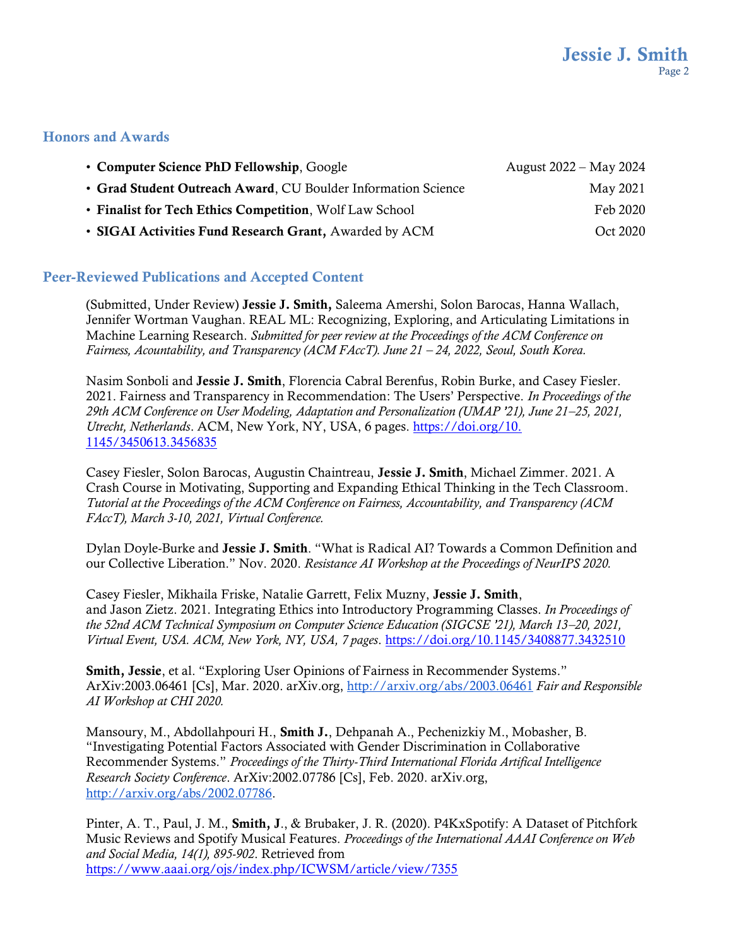#### Honors and Awards

| • Computer Science PhD Fellowship, Google                     | August 2022 – May 2024 |
|---------------------------------------------------------------|------------------------|
| • Grad Student Outreach Award, CU Boulder Information Science | May 2021               |
| • Finalist for Tech Ethics Competition, Wolf Law School       | Feb 2020               |
| • SIGAI Activities Fund Research Grant, Awarded by ACM        | Oct 2020               |

#### Peer-Reviewed Publications and Accepted Content

(Submitted, Under Review) Jessie J. Smith, Saleema Amershi, Solon Barocas, Hanna Wallach, Jennifer Wortman Vaughan. REAL ML: Recognizing, Exploring, and Articulating Limitations in Machine Learning Research. *Submitted for peer review at the Proceedings of the ACM Conference on Fairness, Acountability, and Transparency (ACM FAccT). June 21 – 24, 2022, Seoul, South Korea.*

Nasim Sonboli and Jessie J. Smith, Florencia Cabral Berenfus, Robin Burke, and Casey Fiesler. 2021. Fairness and Transparency in Recommendation: The Users' Perspective. *In Proceedings of the 29th ACM Conference on User Modeling, Adaptation and Personalization (UMAP '21), June 21–25, 2021, Utrecht, Netherlands*. ACM, New York, NY, USA, 6 pages. [https://doi.org/10.](https://doi.org/10.%201145/3450613.3456835)  [1145/3450613.3456835](https://doi.org/10.%201145/3450613.3456835)

Casey Fiesler, Solon Barocas, Augustin Chaintreau, Jessie J. Smith, Michael Zimmer. 2021. A Crash Course in Motivating, Supporting and Expanding Ethical Thinking in the Tech Classroom. *Tutorial at the Proceedings of the ACM Conference on Fairness, Accountability, and Transparency (ACM FAccT), March 3-10, 2021, Virtual Conference.*

Dylan Doyle-Burke and Jessie J. Smith. "What is Radical AI? Towards a Common Definition and our Collective Liberation." Nov. 2020. *Resistance AI Workshop at the Proceedings of NeurIPS 2020.*

Casey Fiesler, Mikhaila Friske, Natalie Garrett, Felix Muzny, Jessie J. Smith, and Jason Zietz. 2021. Integrating Ethics into Introductory Programming Classes. *In Proceedings of the 52nd ACM Technical Symposium on Computer Science Education (SIGCSE '21), March 13–20, 2021, Virtual Event, USA. ACM, New York, NY, USA, 7 pages*. <https://doi.org/10.1145/3408877.3432510>

Smith, Jessie, et al. "Exploring User Opinions of Fairness in Recommender Systems." ArXiv:2003.06461 [Cs], Mar. 2020. arXiv.org,<http://arxiv.org/abs/2003.06461> *Fair and Responsible AI Workshop at CHI 2020.*

Mansoury, M., Abdollahpouri H., Smith J., Dehpanah A., Pechenizkiy M., Mobasher, B. "Investigating Potential Factors Associated with Gender Discrimination in Collaborative Recommender Systems." *Proceedings of the Thirty-Third International Florida Artifical Intelligence Research Society Conference*. ArXiv:2002.07786 [Cs], Feb. 2020. arXiv.org, [http://arxiv.org/abs/2002.07786.](http://arxiv.org/abs/2002.07786)

Pinter, A. T., Paul, J. M., Smith, J., & Brubaker, J. R. (2020). P4KxSpotify: A Dataset of Pitchfork Music Reviews and Spotify Musical Features. *Proceedings of the International AAAI Conference on Web and Social Media, 14(1), 895-902*. Retrieved from <https://www.aaai.org/ojs/index.php/ICWSM/article/view/7355>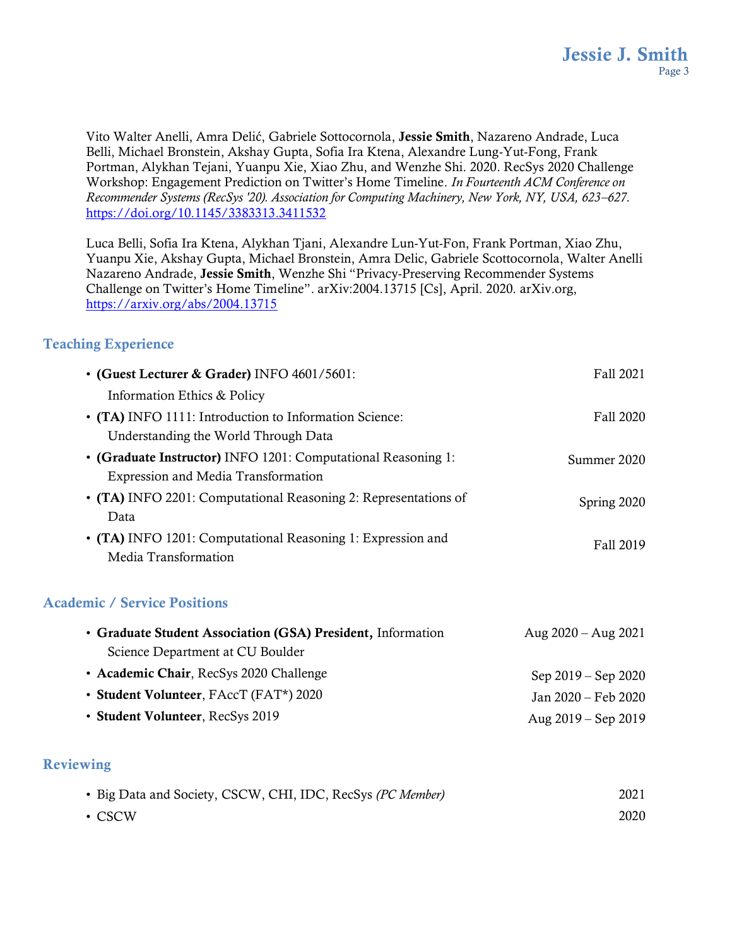Vito Walter Anelli, Amra Delić, Gabriele Sottocornola, Jessie Smith, Nazareno Andrade, Luca Belli, Michael Bronstein, Akshay Gupta, Sofia Ira Ktena, Alexandre Lung-Yut-Fong, Frank Portman, Alykhan Tejani, Yuanpu Xie, Xiao Zhu, and Wenzhe Shi. 2020. RecSys 2020 Challenge Workshop: Engagement Prediction on Twitter's Home Timeline. *In Fourteenth ACM Conference on Recommender Systems (RecSys '20). Association for Computing Machinery, New York, NY, USA, 623–627*. <https://doi.org/10.1145/3383313.3411532>

Luca Belli, Sofia Ira Ktena, Alykhan Tjani, Alexandre Lun-Yut-Fon, Frank Portman, Xiao Zhu, Yuanpu Xie, Akshay Gupta, Michael Bronstein, Amra Delic, Gabriele Scottocornola, Walter Anelli Nazareno Andrade, Jessie Smith, Wenzhe Shi "Privacy-Preserving Recommender Systems Challenge on Twitter's Home Timeline". arXiv:2004.13715 [Cs], April. 2020. arXiv.org, <https://arxiv.org/abs/2004.13715>

## Teaching Experience

| • (Guest Lecturer & Grader) INFO 4601/5601:                     | Fall 2021   |
|-----------------------------------------------------------------|-------------|
| Information Ethics & Policy                                     |             |
| • (TA) INFO 1111: Introduction to Information Science:          | Fall 2020   |
| Understanding the World Through Data                            |             |
| • (Graduate Instructor) INFO 1201: Computational Reasoning 1:   | Summer 2020 |
| <b>Expression and Media Transformation</b>                      |             |
| • (TA) INFO 2201: Computational Reasoning 2: Representations of | Spring 2020 |
| Data                                                            |             |
| • (TA) INFO 1201: Computational Reasoning 1: Expression and     | Fall 2019   |
| Media Transformation                                            |             |

## Academic / Service Positions

| • Graduate Student Association (GSA) President, Information | Aug $2020 -$ Aug $2021$ |
|-------------------------------------------------------------|-------------------------|
| Science Department at CU Boulder                            |                         |
| • Academic Chair, RecSys 2020 Challenge                     | Sep $2019 -$ Sep $2020$ |
| • Student Volunteer, FAccT (FAT*) 2020                      | Jan 2020 – Feb 2020     |
| • Student Volunteer, RecSys 2019                            | Aug $2019 -$ Sep 2019   |

## **Reviewing**

| • Big Data and Society, CSCW, CHI, IDC, RecSys (PC Member) | 2021 |
|------------------------------------------------------------|------|
| • CSCW                                                     | 2020 |